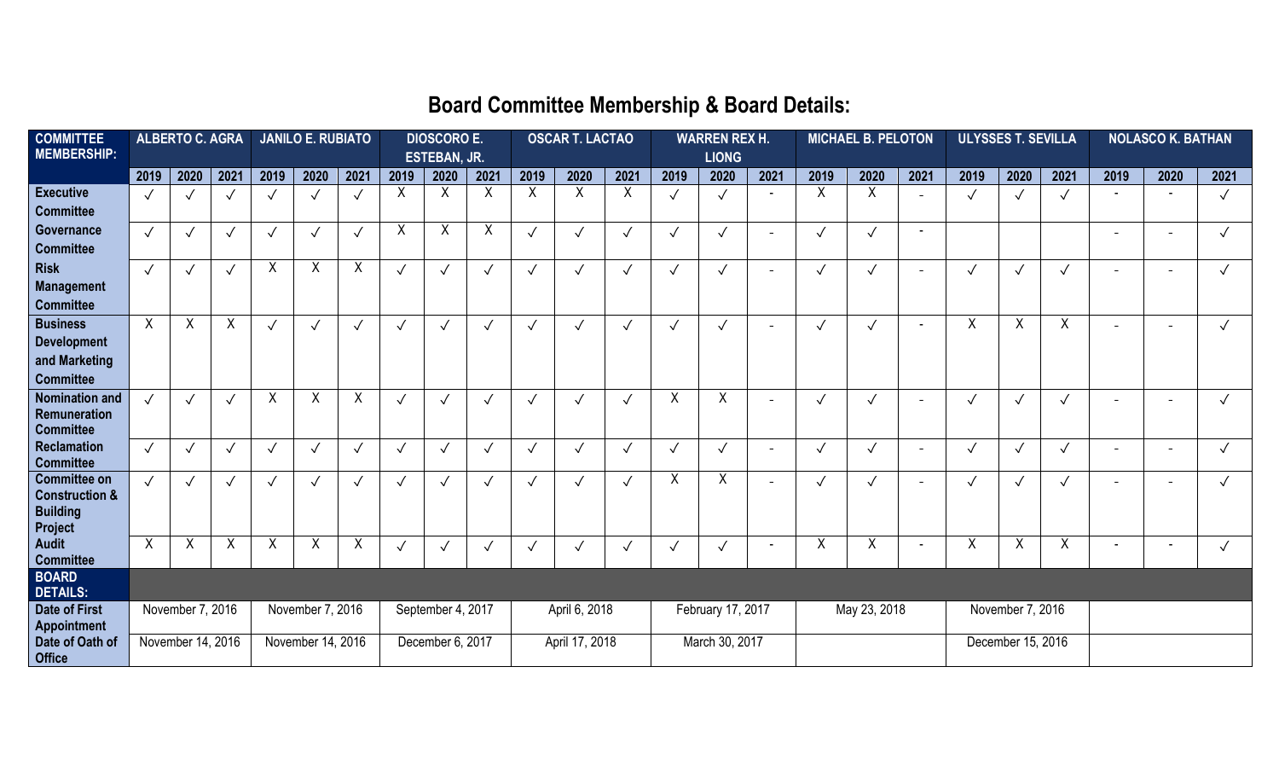## **Board Committee Membership & Board Details:**

| <b>COMMITTEE</b>                           | <b>ALBERTO C. AGRA</b> |            | <b>JANILO E. RUBIATO</b> |                   |                   | <b>DIOSCORO E.</b>  |               |                | <b>OSCAR T. LACTAO</b> |                |              | <b>WARREN REX H.</b>      |                  |                   | <b>MICHAEL B. PELOTON</b> |              |              | <b>ULYSSES T. SEVILLA</b> |              |              | <b>NOLASCO K. BATHAN</b> |                          |                          |              |
|--------------------------------------------|------------------------|------------|--------------------------|-------------------|-------------------|---------------------|---------------|----------------|------------------------|----------------|--------------|---------------------------|------------------|-------------------|---------------------------|--------------|--------------|---------------------------|--------------|--------------|--------------------------|--------------------------|--------------------------|--------------|
| <b>MEMBERSHIP:</b>                         |                        |            |                          |                   |                   | <b>ESTEBAN, JR.</b> |               |                |                        |                |              | <b>LIONG</b>              |                  |                   |                           |              |              |                           |              |              |                          |                          |                          |              |
|                                            | 2019                   | 2020       | 2021                     | 2019              | 2020              | 2021                | 2019          | 2020           | 2021                   | 2019           | 2020         | 2021                      | 2019             | 2020              | 2021                      | 2019         | 2020         | 2021                      | 2019         | 2020         | 2021                     | 2019                     | 2020                     | 2021         |
| <b>Executive</b>                           | $\sqrt{}$              |            | $\checkmark$             |                   |                   |                     | X             | Χ              | X                      | $\overline{X}$ | $\sf X$      | $\boldsymbol{\mathsf{X}}$ | $\checkmark$     | $\checkmark$      |                           | $\sf X$      | Χ            |                           |              | $\checkmark$ | $\checkmark$             |                          |                          | $\checkmark$ |
| <b>Committee</b>                           |                        |            |                          |                   |                   |                     |               |                |                        |                |              |                           |                  |                   |                           |              |              |                           |              |              |                          |                          |                          |              |
| Governance                                 | $\checkmark$           |            | $\checkmark$             | $\checkmark$      | $\checkmark$      | $\checkmark$        | X             | Χ              | X                      | $\sqrt{}$      | $\checkmark$ | $\checkmark$              | $\checkmark$     | $\sqrt{ }$        | $\overline{\phantom{0}}$  | $\sqrt{ }$   | $\checkmark$ |                           |              |              |                          | $\overline{\phantom{a}}$ | $\overline{\phantom{0}}$ | $\sqrt{}$    |
| <b>Committee</b>                           |                        |            |                          |                   |                   |                     |               |                |                        |                |              |                           |                  |                   |                           |              |              |                           |              |              |                          |                          |                          |              |
| <b>Risk</b>                                | $\checkmark$           |            | $\checkmark$             | X                 | $\sf X$           | X                   | $\checkmark$  | $\checkmark$   | $\checkmark$           |                | $\checkmark$ | $\checkmark$              | $\checkmark$     | $\checkmark$      | $\blacksquare$            | $\checkmark$ | $\checkmark$ |                           |              | $\checkmark$ |                          |                          |                          |              |
| <b>Management</b>                          |                        |            |                          |                   |                   |                     |               |                |                        |                |              |                           |                  |                   |                           |              |              |                           |              |              |                          |                          |                          |              |
| <b>Committee</b>                           |                        |            |                          |                   |                   |                     |               |                |                        |                |              |                           |                  |                   |                           |              |              |                           |              |              |                          |                          |                          |              |
| <b>Business</b>                            | $\mathsf{X}$           | X          | $\sf X$                  | $\checkmark$      |                   | $\checkmark$        | $\checkmark$  |                | $\checkmark$           |                |              | $\checkmark$              |                  | $\checkmark$      | $\overline{\phantom{0}}$  |              |              |                           | $\times$     | X            | X                        |                          |                          | $\checkmark$ |
| <b>Development</b>                         |                        |            |                          |                   |                   |                     |               |                |                        |                |              |                           |                  |                   |                           |              |              |                           |              |              |                          |                          |                          |              |
| and Marketing                              |                        |            |                          |                   |                   |                     |               |                |                        |                |              |                           |                  |                   |                           |              |              |                           |              |              |                          |                          |                          |              |
| <b>Committee</b>                           |                        |            |                          |                   |                   |                     |               |                |                        |                |              |                           |                  |                   |                           |              |              |                           |              |              |                          |                          |                          |              |
| <b>Nomination and</b>                      | $\checkmark$           | $\sqrt{ }$ | $\checkmark$             | $\sf X$           | $\sf X$           | X                   | $\checkmark$  | $\checkmark$   | $\sqrt{ }$             |                | $\checkmark$ | $\checkmark$              | X                | $\sf X$           | $\overline{\phantom{0}}$  | $\checkmark$ | $\checkmark$ |                           | $\checkmark$ | $\checkmark$ | $\sqrt{}$                |                          |                          | $\checkmark$ |
| Remuneration                               |                        |            |                          |                   |                   |                     |               |                |                        |                |              |                           |                  |                   |                           |              |              |                           |              |              |                          |                          |                          |              |
| <b>Committee</b>                           |                        |            |                          |                   |                   |                     |               |                |                        |                |              |                           |                  |                   |                           |              |              |                           |              |              |                          |                          |                          |              |
| <b>Reclamation</b><br><b>Committee</b>     | $\checkmark$           |            | $\checkmark$             | $\sqrt{ }$        | $\sqrt{}$         | $\checkmark$        | $\checkmark$  | $\checkmark$   | $\checkmark$           |                | $\checkmark$ | $\sqrt{ }$                | $\checkmark$     | $\checkmark$      | $\overline{\phantom{a}}$  | $\checkmark$ | $\sqrt{}$    |                           | $\checkmark$ | $\checkmark$ | $\checkmark$             | $\overline{\phantom{a}}$ |                          |              |
| <b>Committee on</b>                        | $\checkmark$           |            | $\checkmark$             |                   |                   | $\checkmark$        | $\checkmark$  | $\checkmark$   | $\checkmark$           |                | $\checkmark$ | $\checkmark$              | X                | $\overline{X}$    | $\overline{\phantom{0}}$  | $\checkmark$ | $\checkmark$ |                           | $\sqrt{ }$   | $\checkmark$ | $\checkmark$             |                          |                          |              |
| <b>Construction &amp;</b>                  |                        |            |                          |                   |                   |                     |               |                |                        |                |              |                           |                  |                   |                           |              |              |                           |              |              |                          |                          |                          |              |
| <b>Building</b>                            |                        |            |                          |                   |                   |                     |               |                |                        |                |              |                           |                  |                   |                           |              |              |                           |              |              |                          |                          |                          |              |
| Project                                    |                        |            |                          |                   |                   |                     |               |                |                        |                |              |                           |                  |                   |                           |              |              |                           |              |              |                          |                          |                          |              |
| <b>Audit</b>                               | X                      | X          | $\sf X$                  | X                 | X                 | X                   | $\checkmark$  | ◡              |                        | $\checkmark$   | $\checkmark$ | $\sqrt{ }$                | $\checkmark$     | $\checkmark$      |                           | Χ            | Χ            |                           | X            | Χ            | Χ                        |                          |                          | $\checkmark$ |
| <b>Committee</b>                           |                        |            |                          |                   |                   |                     |               |                |                        |                |              |                           |                  |                   |                           |              |              |                           |              |              |                          |                          |                          |              |
| <b>BOARD</b>                               |                        |            |                          |                   |                   |                     |               |                |                        |                |              |                           |                  |                   |                           |              |              |                           |              |              |                          |                          |                          |              |
| <b>DETAILS:</b>                            |                        |            |                          |                   |                   |                     |               |                |                        |                |              |                           |                  |                   |                           |              |              |                           |              |              |                          |                          |                          |              |
| <b>Date of First</b><br><b>Appointment</b> | November 7, 2016       |            | November 7, 2016         |                   | September 4, 2017 |                     | April 6, 2018 |                | February 17, 2017      |                | May 23, 2018 |                           | November 7, 2016 |                   |                           |              |              |                           |              |              |                          |                          |                          |              |
| Date of Oath of<br><b>Office</b>           | November 14, 2016      |            |                          | November 14, 2016 |                   | December 6, 2017    |               | April 17, 2018 |                        | March 30, 2017 |              |                           |                  | December 15, 2016 |                           |              |              |                           |              |              |                          |                          |                          |              |